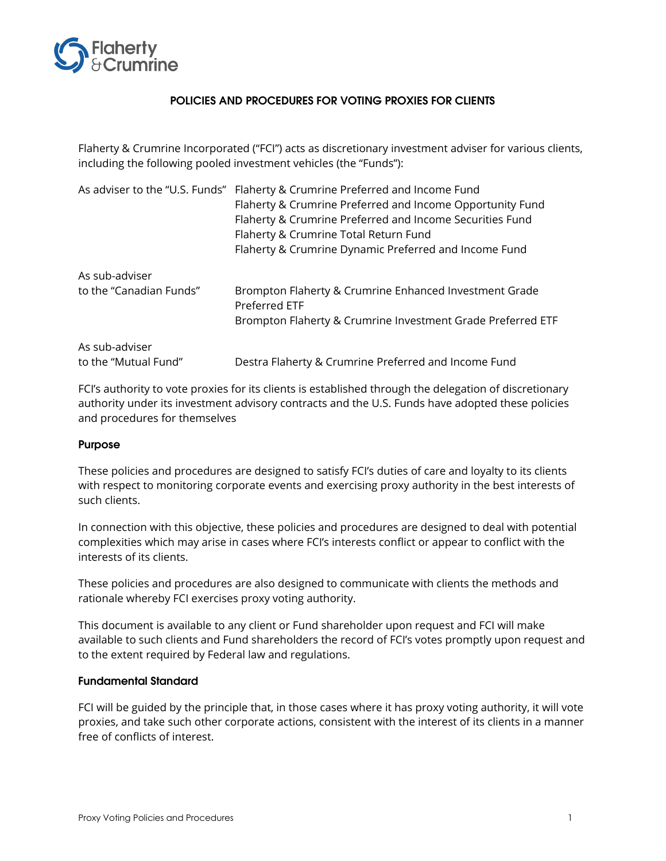

# POLICIES AND PROCEDURES FOR VOTING PROXIES FOR CLIENTS

Flaherty & Crumrine Incorporated ("FCI") acts as discretionary investment adviser for various clients, including the following pooled investment vehicles (the "Funds"):

|                         | As adviser to the "U.S. Funds" Flaherty & Crumrine Preferred and Income Fund |
|-------------------------|------------------------------------------------------------------------------|
|                         | Flaherty & Crumrine Preferred and Income Opportunity Fund                    |
|                         | Flaherty & Crumrine Preferred and Income Securities Fund                     |
|                         | Flaherty & Crumrine Total Return Fund                                        |
|                         | Flaherty & Crumrine Dynamic Preferred and Income Fund                        |
| As sub-adviser          |                                                                              |
| to the "Canadian Funds" | Brompton Flaherty & Crumrine Enhanced Investment Grade<br>Preferred ETF      |
|                         | Brompton Flaherty & Crumrine Investment Grade Preferred ETF                  |
| As sub-adviser          |                                                                              |
| to the "Mutual Fund"    | Destra Flaherty & Crumrine Preferred and Income Fund                         |

FCI's authority to vote proxies for its clients is established through the delegation of discretionary authority under its investment advisory contracts and the U.S. Funds have adopted these policies and procedures for themselves

#### Purpose

These policies and procedures are designed to satisfy FCI's duties of care and loyalty to its clients with respect to monitoring corporate events and exercising proxy authority in the best interests of such clients.

In connection with this objective, these policies and procedures are designed to deal with potential complexities which may arise in cases where FCI's interests conflict or appear to conflict with the interests of its clients.

These policies and procedures are also designed to communicate with clients the methods and rationale whereby FCI exercises proxy voting authority.

This document is available to any client or Fund shareholder upon request and FCI will make available to such clients and Fund shareholders the record of FCI's votes promptly upon request and to the extent required by Federal law and regulations.

## Fundamental Standard

FCI will be guided by the principle that, in those cases where it has proxy voting authority, it will vote proxies, and take such other corporate actions, consistent with the interest of its clients in a manner free of conflicts of interest.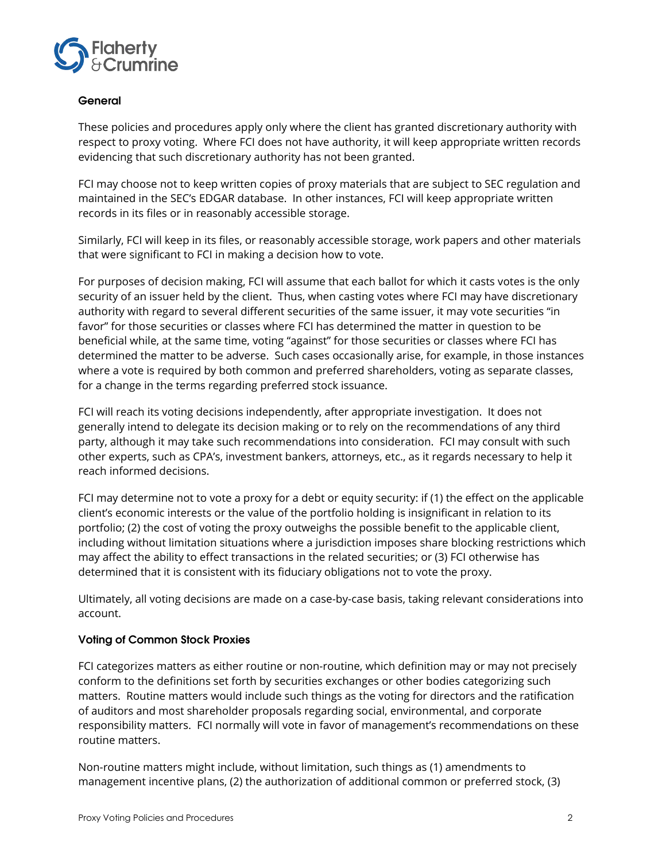

# General

These policies and procedures apply only where the client has granted discretionary authority with respect to proxy voting. Where FCI does not have authority, it will keep appropriate written records evidencing that such discretionary authority has not been granted.

FCI may choose not to keep written copies of proxy materials that are subject to SEC regulation and maintained in the SEC's EDGAR database. In other instances, FCI will keep appropriate written records in its files or in reasonably accessible storage.

Similarly, FCI will keep in its files, or reasonably accessible storage, work papers and other materials that were significant to FCI in making a decision how to vote.

For purposes of decision making, FCI will assume that each ballot for which it casts votes is the only security of an issuer held by the client. Thus, when casting votes where FCI may have discretionary authority with regard to several different securities of the same issuer, it may vote securities "in favor" for those securities or classes where FCI has determined the matter in question to be beneficial while, at the same time, voting "against" for those securities or classes where FCI has determined the matter to be adverse. Such cases occasionally arise, for example, in those instances where a vote is required by both common and preferred shareholders, voting as separate classes, for a change in the terms regarding preferred stock issuance.

FCI will reach its voting decisions independently, after appropriate investigation. It does not generally intend to delegate its decision making or to rely on the recommendations of any third party, although it may take such recommendations into consideration. FCI may consult with such other experts, such as CPA's, investment bankers, attorneys, etc., as it regards necessary to help it reach informed decisions.

FCI may determine not to vote a proxy for a debt or equity security: if (1) the effect on the applicable client's economic interests or the value of the portfolio holding is insignificant in relation to its portfolio; (2) the cost of voting the proxy outweighs the possible benefit to the applicable client, including without limitation situations where a jurisdiction imposes share blocking restrictions which may affect the ability to effect transactions in the related securities; or (3) FCI otherwise has determined that it is consistent with its fiduciary obligations not to vote the proxy.

Ultimately, all voting decisions are made on a case-by-case basis, taking relevant considerations into account.

## Voting of Common Stock Proxies

FCI categorizes matters as either routine or non-routine, which definition may or may not precisely conform to the definitions set forth by securities exchanges or other bodies categorizing such matters. Routine matters would include such things as the voting for directors and the ratification of auditors and most shareholder proposals regarding social, environmental, and corporate responsibility matters. FCI normally will vote in favor of management's recommendations on these routine matters.

Non-routine matters might include, without limitation, such things as (1) amendments to management incentive plans, (2) the authorization of additional common or preferred stock, (3)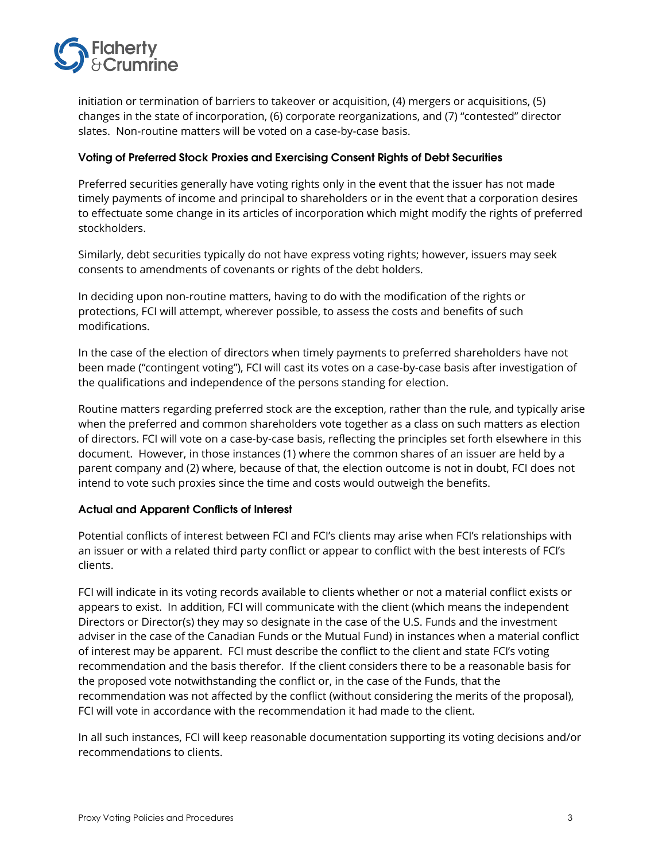

initiation or termination of barriers to takeover or acquisition, (4) mergers or acquisitions, (5) changes in the state of incorporation, (6) corporate reorganizations, and (7) "contested" director slates. Non-routine matters will be voted on a case-by-case basis.

### Voting of Preferred Stock Proxies and Exercising Consent Rights of Debt Securities

Preferred securities generally have voting rights only in the event that the issuer has not made timely payments of income and principal to shareholders or in the event that a corporation desires to effectuate some change in its articles of incorporation which might modify the rights of preferred stockholders.

Similarly, debt securities typically do not have express voting rights; however, issuers may seek consents to amendments of covenants or rights of the debt holders.

In deciding upon non-routine matters, having to do with the modification of the rights or protections, FCI will attempt, wherever possible, to assess the costs and benefits of such modifications.

In the case of the election of directors when timely payments to preferred shareholders have not been made ("contingent voting"), FCI will cast its votes on a case-by-case basis after investigation of the qualifications and independence of the persons standing for election.

Routine matters regarding preferred stock are the exception, rather than the rule, and typically arise when the preferred and common shareholders vote together as a class on such matters as election of directors. FCI will vote on a case-by-case basis, reflecting the principles set forth elsewhere in this document. However, in those instances (1) where the common shares of an issuer are held by a parent company and (2) where, because of that, the election outcome is not in doubt, FCI does not intend to vote such proxies since the time and costs would outweigh the benefits.

#### Actual and Apparent Conflicts of Interest

Potential conflicts of interest between FCI and FCI's clients may arise when FCI's relationships with an issuer or with a related third party conflict or appear to conflict with the best interests of FCI's clients.

FCI will indicate in its voting records available to clients whether or not a material conflict exists or appears to exist. In addition, FCI will communicate with the client (which means the independent Directors or Director(s) they may so designate in the case of the U.S. Funds and the investment adviser in the case of the Canadian Funds or the Mutual Fund) in instances when a material conflict of interest may be apparent. FCI must describe the conflict to the client and state FCI's voting recommendation and the basis therefor. If the client considers there to be a reasonable basis for the proposed vote notwithstanding the conflict or, in the case of the Funds, that the recommendation was not affected by the conflict (without considering the merits of the proposal), FCI will vote in accordance with the recommendation it had made to the client.

In all such instances, FCI will keep reasonable documentation supporting its voting decisions and/or recommendations to clients.